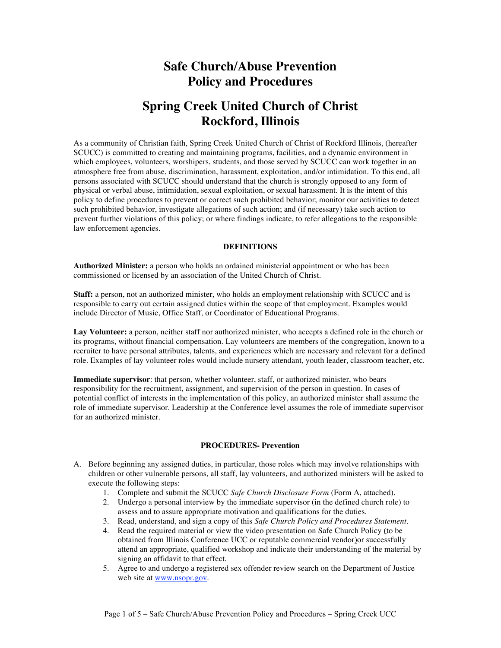## **Safe Church/Abuse Prevention Policy and Procedures**

### **Spring Creek United Church of Christ Rockford, Illinois**

As a community of Christian faith, Spring Creek United Church of Christ of Rockford Illinois, (hereafter SCUCC) is committed to creating and maintaining programs, facilities, and a dynamic environment in which employees, volunteers, worshipers, students, and those served by SCUCC can work together in an atmosphere free from abuse, discrimination, harassment, exploitation, and/or intimidation. To this end, all persons associated with SCUCC should understand that the church is strongly opposed to any form of physical or verbal abuse, intimidation, sexual exploitation, or sexual harassment. It is the intent of this policy to define procedures to prevent or correct such prohibited behavior; monitor our activities to detect such prohibited behavior, investigate allegations of such action; and (if necessary) take such action to prevent further violations of this policy; or where findings indicate, to refer allegations to the responsible law enforcement agencies.

#### **DEFINITIONS**

**Authorized Minister:** a person who holds an ordained ministerial appointment or who has been commissioned or licensed by an association of the United Church of Christ.

**Staff:** a person, not an authorized minister, who holds an employment relationship with SCUCC and is responsible to carry out certain assigned duties within the scope of that employment. Examples would include Director of Music, Office Staff, or Coordinator of Educational Programs.

**Lay Volunteer:** a person, neither staff nor authorized minister, who accepts a defined role in the church or its programs, without financial compensation. Lay volunteers are members of the congregation, known to a recruiter to have personal attributes, talents, and experiences which are necessary and relevant for a defined role. Examples of lay volunteer roles would include nursery attendant, youth leader, classroom teacher, etc.

**Immediate supervisor**: that person, whether volunteer, staff, or authorized minister, who bears responsibility for the recruitment, assignment, and supervision of the person in question. In cases of potential conflict of interests in the implementation of this policy, an authorized minister shall assume the role of immediate supervisor. Leadership at the Conference level assumes the role of immediate supervisor for an authorized minister.

#### **PROCEDURES- Prevention**

- A. Before beginning any assigned duties, in particular, those roles which may involve relationships with children or other vulnerable persons, all staff, lay volunteers, and authorized ministers will be asked to execute the following steps:
	- 1. Complete and submit the SCUCC *Safe Church Disclosure Form* (Form A, attached).
	- 2. Undergo a personal interview by the immediate supervisor (in the defined church role) to assess and to assure appropriate motivation and qualifications for the duties.
	- 3. Read, understand, and sign a copy of this *Safe Church Policy and Procedures Statement*.
	- 4. Read the required material or view the video presentation on Safe Church Policy (to be obtained from Illinois Conference UCC or reputable commercial vendor)or successfully attend an appropriate, qualified workshop and indicate their understanding of the material by signing an affidavit to that effect.
	- 5. Agree to and undergo a registered sex offender review search on the Department of Justice web site at www.nsopr.gov.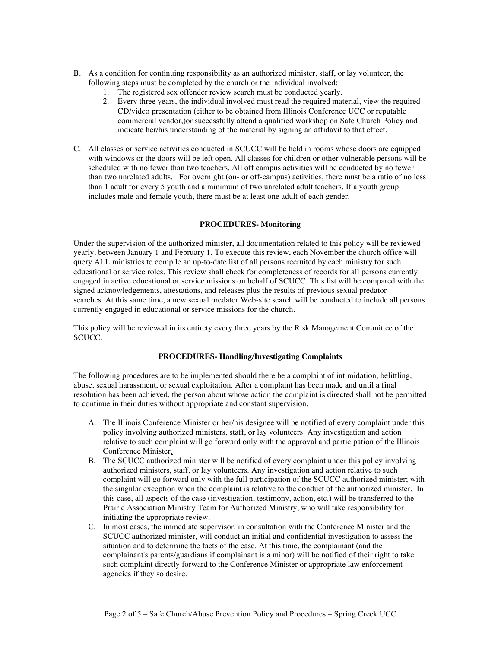- B. As a condition for continuing responsibility as an authorized minister, staff, or lay volunteer, the following steps must be completed by the church or the individual involved:
	- 1. The registered sex offender review search must be conducted yearly.
	- 2. Every three years, the individual involved must read the required material, view the required CD/video presentation (either to be obtained from Illinois Conference UCC or reputable commercial vendor,)or successfully attend a qualified workshop on Safe Church Policy and indicate her/his understanding of the material by signing an affidavit to that effect.
- C. All classes or service activities conducted in SCUCC will be held in rooms whose doors are equipped with windows or the doors will be left open. All classes for children or other vulnerable persons will be scheduled with no fewer than two teachers. All off campus activities will be conducted by no fewer than two unrelated adults. For overnight (on- or off-campus) activities, there must be a ratio of no less than 1 adult for every 5 youth and a minimum of two unrelated adult teachers. If a youth group includes male and female youth, there must be at least one adult of each gender.

#### **PROCEDURES- Monitoring**

Under the supervision of the authorized minister, all documentation related to this policy will be reviewed yearly, between January 1 and February 1. To execute this review, each November the church office will query ALL ministries to compile an up-to-date list of all persons recruited by each ministry for such educational or service roles. This review shall check for completeness of records for all persons currently engaged in active educational or service missions on behalf of SCUCC. This list will be compared with the signed acknowledgements, attestations, and releases plus the results of previous sexual predator searches. At this same time, a new sexual predator Web-site search will be conducted to include all persons currently engaged in educational or service missions for the church.

This policy will be reviewed in its entirety every three years by the Risk Management Committee of the SCUCC.

#### **PROCEDURES- Handling/Investigating Complaints**

The following procedures are to be implemented should there be a complaint of intimidation, belittling, abuse, sexual harassment, or sexual exploitation. After a complaint has been made and until a final resolution has been achieved, the person about whose action the complaint is directed shall not be permitted to continue in their duties without appropriate and constant supervision.

- A. The Illinois Conference Minister or her/his designee will be notified of every complaint under this policy involving authorized ministers, staff, or lay volunteers. Any investigation and action relative to such complaint will go forward only with the approval and participation of the Illinois Conference Minister.
- B. The SCUCC authorized minister will be notified of every complaint under this policy involving authorized ministers, staff, or lay volunteers. Any investigation and action relative to such complaint will go forward only with the full participation of the SCUCC authorized minister; with the singular exception when the complaint is relative to the conduct of the authorized minister. In this case, all aspects of the case (investigation, testimony, action, etc.) will be transferred to the Prairie Association Ministry Team for Authorized Ministry, who will take responsibility for initiating the appropriate review.
- C. In most cases, the immediate supervisor, in consultation with the Conference Minister and the SCUCC authorized minister, will conduct an initial and confidential investigation to assess the situation and to determine the facts of the case. At this time, the complainant (and the complainant's parents/guardians if complainant is a minor) will be notified of their right to take such complaint directly forward to the Conference Minister or appropriate law enforcement agencies if they so desire.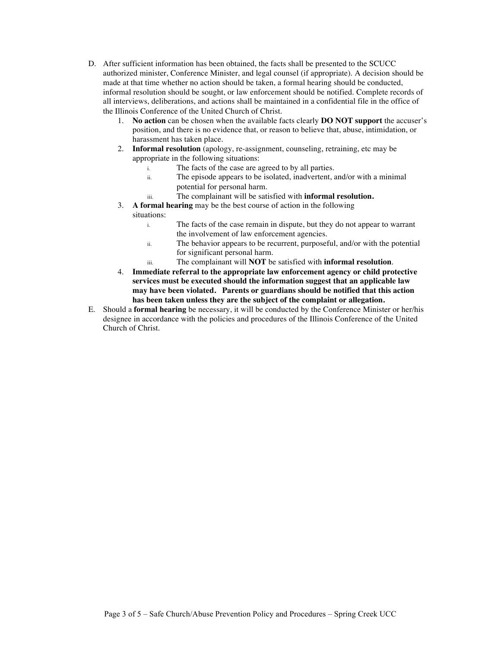- D. After sufficient information has been obtained, the facts shall be presented to the SCUCC authorized minister, Conference Minister, and legal counsel (if appropriate). A decision should be made at that time whether no action should be taken, a formal hearing should be conducted, informal resolution should be sought, or law enforcement should be notified. Complete records of all interviews, deliberations, and actions shall be maintained in a confidential file in the office of the Illinois Conference of the United Church of Christ.
	- 1. **No action** can be chosen when the available facts clearly **DO NOT support** the accuser's position, and there is no evidence that, or reason to believe that, abuse, intimidation, or harassment has taken place.
	- 2. **Informal resolution** (apology, re-assignment, counseling, retraining, etc may be appropriate in the following situations:
		- i. The facts of the case are agreed to by all parties.
		- ii. The episode appears to be isolated, inadvertent, and/or with a minimal potential for personal harm.
		- iii. The complainant will be satisfied with **informal resolution.**
	- 3. **A formal hearing** may be the best course of action in the following situations:
		- i. The facts of the case remain in dispute, but they do not appear to warrant the involvement of law enforcement agencies.
		- ii. The behavior appears to be recurrent, purposeful, and/or with the potential for significant personal harm.
		- iii. The complainant will **NOT** be satisfied with **informal resolution**.
	- 4. **Immediate referral to the appropriate law enforcement agency or child protective services must be executed should the information suggest that an applicable law may have been violated. Parents or guardians should be notified that this action has been taken unless they are the subject of the complaint or allegation.**
- E. Should a **formal hearing** be necessary, it will be conducted by the Conference Minister or her/his designee in accordance with the policies and procedures of the Illinois Conference of the United Church of Christ.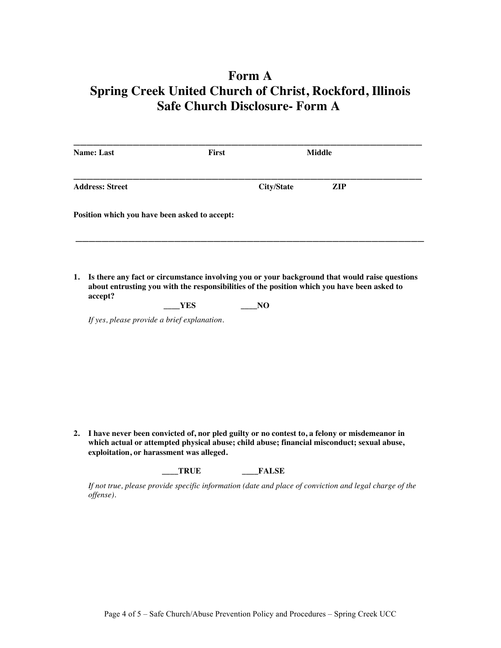# **Form A Spring Creek United Church of Christ, Rockford, Illinois Safe Church Disclosure- Form A**

| <b>Name: Last</b>                             | <b>First</b>                                |                                                                                                                                                                                                    | <b>Middle</b> |  |
|-----------------------------------------------|---------------------------------------------|----------------------------------------------------------------------------------------------------------------------------------------------------------------------------------------------------|---------------|--|
| <b>Address: Street</b>                        |                                             | <b>City/State</b>                                                                                                                                                                                  | <b>ZIP</b>    |  |
| Position which you have been asked to accept: |                                             |                                                                                                                                                                                                    |               |  |
| 1.<br>accept?                                 | YES                                         | Is there any fact or circumstance involving you or your background that would raise questions<br>about entrusting you with the responsibilities of the position which you have been asked to<br>NO |               |  |
|                                               | If yes, please provide a brief explanation. |                                                                                                                                                                                                    |               |  |

**2. I have never been convicted of, nor pled guilty or no contest to, a felony or misdemeanor in which actual or attempted physical abuse; child abuse; financial misconduct; sexual abuse, exploitation, or harassment was alleged.**

**\_\_\_\_TRUE \_\_\_\_FALSE**

*If not true, please provide specific information (date and place of conviction and legal charge of the offense).*